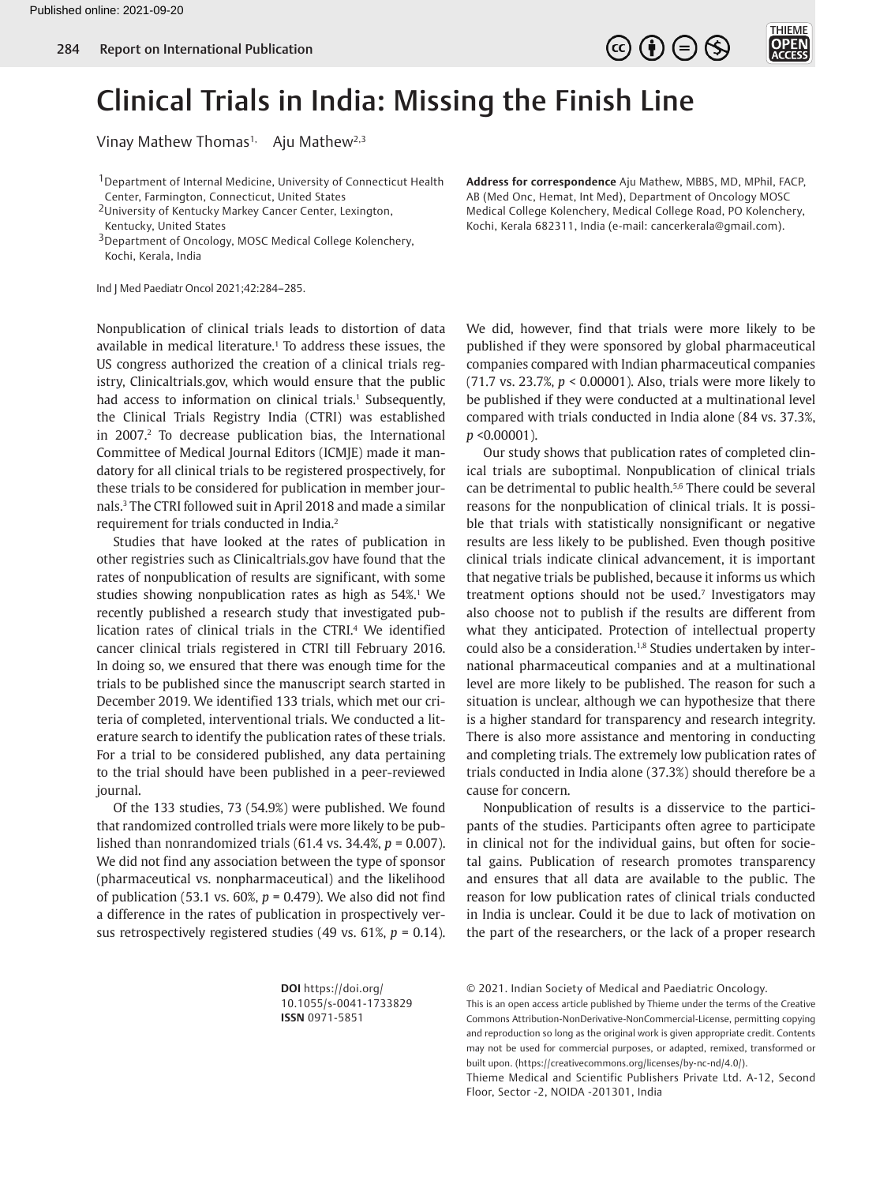



# Clinical Trials in India: Missing the Finish Line

Vinay Mathew Thomas<sup>1,</sup> Aju Mathew<sup>2,3</sup>

<sup>1</sup> Department of Internal Medicine, University of Connecticut Health Center, Farmington, Connecticut, United States

2University of Kentucky Markey Cancer Center, Lexington, Kentucky, United States

<sup>3</sup>Department of Oncology, MOSC Medical College Kolenchery, Kochi, Kerala, India

Ind J Med Paediatr Oncol 2021;42:284–285.

<span id="page-0-1"></span><span id="page-0-0"></span>Nonpublication of clinical trials leads to distortion of data available in medical literature.<sup>[1](#page-1-0)</sup> To address these issues, the US congress authorized the creation of a clinical trials registry, Clinicaltrials.gov, which would ensure that the public had access to information on clinical trials.<sup>1</sup> Subsequently, the Clinical Trials Registry India (CTRI) was established in [2](#page-1-1)007.<sup>2</sup> To decrease publication bias, the International Committee of Medical Journal Editors (ICMJE) made it mandatory for all clinical trials to be registered prospectively, for these trials to be considered for publication in member journals[.3](#page-1-2) The CTRI followed suit in April 2018 and made a similar requirement for trials conducted in India.[2](#page-1-1)

<span id="page-0-3"></span><span id="page-0-2"></span>Studies that have looked at the rates of publication in other registries such as Clinicaltrials.gov have found that the rates of nonpublication of results are significant, with some studies showing nonpublication rates as high as 54%.<sup>1</sup> We recently published a research study that investigated publication rates of clinical trials in the CTRI.[4](#page-1-3) We identified cancer clinical trials registered in CTRI till February 2016. In doing so, we ensured that there was enough time for the trials to be published since the manuscript search started in December 2019. We identified 133 trials, which met our criteria of completed, interventional trials. We conducted a literature search to identify the publication rates of these trials. For a trial to be considered published, any data pertaining to the trial should have been published in a peer-reviewed journal.

Of the 133 studies, 73 (54.9%) were published. We found that randomized controlled trials were more likely to be published than nonrandomized trials (61.4 vs. 34.4%, *p* = 0.007). We did not find any association between the type of sponsor (pharmaceutical vs. nonpharmaceutical) and the likelihood of publication (53.1 vs. 60%, *p* = 0.479). We also did not find a difference in the rates of publication in prospectively versus retrospectively registered studies (49 vs. 61%, *p* = 0.14). **Address for correspondence** Aju Mathew, MBBS, MD, MPhil, FACP, AB (Med Onc, Hemat, Int Med), Department of Oncology MOSC Medical College Kolenchery, Medical College Road, PO Kolenchery, Kochi, Kerala 682311, India (e-mail: cancerkerala@gmail.com).

We did, however, find that trials were more likely to be published if they were sponsored by global pharmaceutical companies compared with Indian pharmaceutical companies (71.7 vs. 23.7%, *p* < 0.00001). Also, trials were more likely to be published if they were conducted at a multinational level compared with trials conducted in India alone (84 vs. 37.3%, *p* <0.00001).

<span id="page-0-6"></span><span id="page-0-5"></span><span id="page-0-4"></span>Our study shows that publication rates of completed clinical trials are suboptimal. Nonpublication of clinical trials can be detrimental to public health.[5,](#page-1-4)[6](#page-1-5) There could be several reasons for the nonpublication of clinical trials. It is possible that trials with statistically nonsignificant or negative results are less likely to be published. Even though positive clinical trials indicate clinical advancement, it is important that negative trials be published, because it informs us which treatment options should not be used.<sup>[7](#page-1-6)</sup> Investigators may also choose not to publish if the results are different from what they anticipated. Protection of intellectual property could also be a consideration.<sup>1[,8](#page-1-7)</sup> Studies undertaken by international pharmaceutical companies and at a multinational level are more likely to be published. The reason for such a situation is unclear, although we can hypothesize that there is a higher standard for transparency and research integrity. There is also more assistance and mentoring in conducting and completing trials. The extremely low publication rates of trials conducted in India alone (37.3%) should therefore be a cause for concern.

<span id="page-0-7"></span>Nonpublication of results is a disservice to the participants of the studies. Participants often agree to participate in clinical not for the individual gains, but often for societal gains. Publication of research promotes transparency and ensures that all data are available to the public. The reason for low publication rates of clinical trials conducted in India is unclear. Could it be due to lack of motivation on the part of the researchers, or the lack of a proper research

**DOI** https://doi.org/ 10.1055/s-0041-1733829 **ISSN** 0971-5851

© 2021. Indian Society of Medical and Paediatric Oncology.

This is an open access article published by Thieme under the terms of the Creative Commons Attribution-NonDerivative-NonCommercial-License, permitting copying and reproduction so long as the original work is given appropriate credit. Contents may not be used for commercial purposes, or adapted, remixed, transformed or built upon. (https://creativecommons.org/licenses/by-nc-nd/4.0/).

Thieme Medical and Scientific Publishers Private Ltd. A-12, Second Floor, Sector -2, NOIDA -201301, India